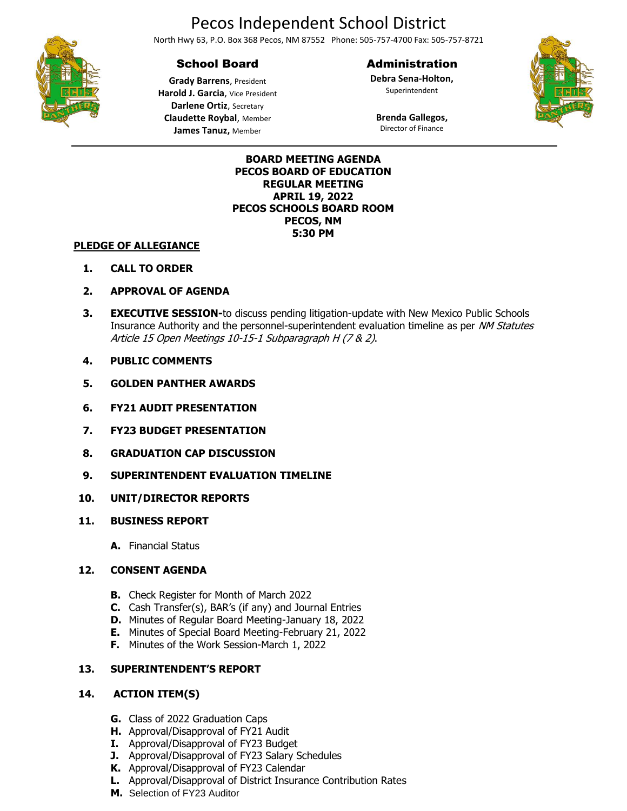# Pecos Independent School District

North Hwy 63, P.O. Box 368 Pecos, NM 87552 Phone: 505-757-4700 Fax: 505-757-8721

## School Board

## Administration

**Debra Sena-Holton,** Superintendent



**Grady Barrens**, President **Harold J. Garcia**, Vice President **Darlene Ortiz**, Secretary **Claudette Roybal**, Member **James Tanuz,** Member

**Brenda Gallegos,** Director of Finance

#### **BOARD MEETING AGENDA PECOS BOARD OF EDUCATION REGULAR MEETING APRIL 19, 2022 PECOS SCHOOLS BOARD ROOM PECOS, NM 5:30 PM**

#### **PLEDGE OF ALLEGIANCE**

- **1. CALL TO ORDER**
- **2. APPROVAL OF AGENDA**
- **3. EXECUTIVE SESSION-**to discuss pending litigation-update with New Mexico Public Schools Insurance Authority and the personnel-superintendent evaluation timeline as per NM Statutes Article 15 Open Meetings 10-15-1 Subparagraph H (7 & 2).
- **4. PUBLIC COMMENTS**
- **5. GOLDEN PANTHER AWARDS**
- **6. FY21 AUDIT PRESENTATION**
- **7. FY23 BUDGET PRESENTATION**
- **8. GRADUATION CAP DISCUSSION**
- **9. SUPERINTENDENT EVALUATION TIMELINE**
- **10. UNIT/DIRECTOR REPORTS**
- **11. BUSINESS REPORT**
	- **A.** Financial Status

## **12. CONSENT AGENDA**

- **B.** Check Register for Month of March 2022
- **C.** Cash Transfer(s), BAR's (if any) and Journal Entries
- **D.** Minutes of Regular Board Meeting-January 18, 2022
- **E.** Minutes of Special Board Meeting-February 21, 2022
- **F.** Minutes of the Work Session-March 1, 2022

## **13. SUPERINTENDENT'S REPORT**

## **14. ACTION ITEM(S)**

- **G.** Class of 2022 Graduation Caps
- **H.** Approval/Disapproval of FY21 Audit
- **I.** Approval/Disapproval of FY23 Budget
- **J.** Approval/Disapproval of FY23 Salary Schedules
- **K.** Approval/Disapproval of FY23 Calendar
- **L.** Approval/Disapproval of District Insurance Contribution Rates
- **M.** Selection of FY23 Auditor